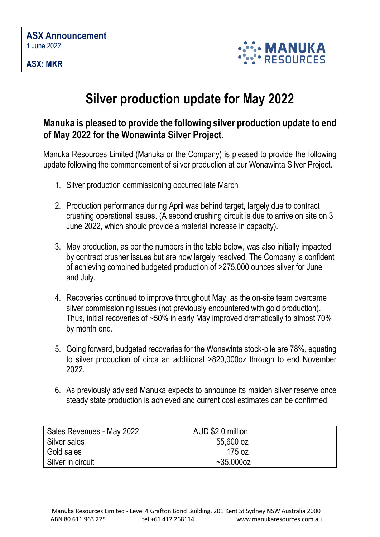**ASX: MKR**



## **Silver production update for May 2022**

## **Manuka is pleased to provide the following silver production update to end of May 2022 for the Wonawinta Silver Project.**

Manuka Resources Limited (Manuka or the Company) is pleased to provide the following update following the commencement of silver production at our Wonawinta Silver Project.

- 1. Silver production commissioning occurred late March
- 2. Production performance during April was behind target, largely due to contract crushing operational issues. (A second crushing circuit is due to arrive on site on 3 June 2022, which should provide a material increase in capacity).
- 3. May production, as per the numbers in the table below, was also initially impacted by contract crusher issues but are now largely resolved. The Company is confident of achieving combined budgeted production of >275,000 ounces silver for June and July.
- 4. Recoveries continued to improve throughout May, as the on-site team overcame silver commissioning issues (not previously encountered with gold production). Thus, initial recoveries of ~50% in early May improved dramatically to almost 70% by month end.
- 5. Going forward, budgeted recoveries for the Wonawinta stock-pile are 78%, equating to silver production of circa an additional >820,000oz through to end November 2022.
- 6. As previously advised Manuka expects to announce its maiden silver reserve once steady state production is achieved and current cost estimates can be confirmed,

| Sales Revenues - May 2022 | AUD \$2.0 million |
|---------------------------|-------------------|
| Silver sales              | 55,600 oz         |
| Gold sales                | 175 oz            |
| Silver in circuit         | $~1$ ~35.000oz    |